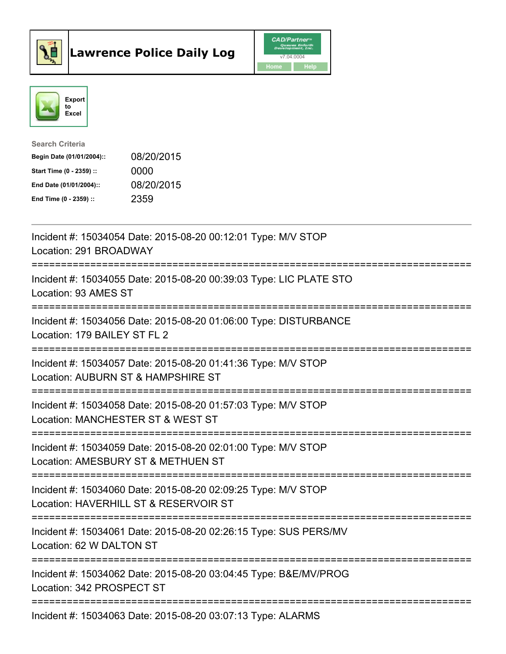



| <b>Search Criteria</b>    |            |
|---------------------------|------------|
| Begin Date (01/01/2004):: | 08/20/2015 |
| Start Time (0 - 2359) ::  | 0000       |
| End Date (01/01/2004)::   | 08/20/2015 |
| End Time $(0 - 2359)$ :   | 2359       |

| Incident #: 15034054 Date: 2015-08-20 00:12:01 Type: M/V STOP<br>Location: 291 BROADWAY                |
|--------------------------------------------------------------------------------------------------------|
| Incident #: 15034055 Date: 2015-08-20 00:39:03 Type: LIC PLATE STO<br>Location: 93 AMES ST             |
| Incident #: 15034056 Date: 2015-08-20 01:06:00 Type: DISTURBANCE<br>Location: 179 BAILEY ST FL 2       |
| Incident #: 15034057 Date: 2015-08-20 01:41:36 Type: M/V STOP<br>Location: AUBURN ST & HAMPSHIRE ST    |
| Incident #: 15034058 Date: 2015-08-20 01:57:03 Type: M/V STOP<br>Location: MANCHESTER ST & WEST ST     |
| Incident #: 15034059 Date: 2015-08-20 02:01:00 Type: M/V STOP<br>Location: AMESBURY ST & METHUEN ST    |
| Incident #: 15034060 Date: 2015-08-20 02:09:25 Type: M/V STOP<br>Location: HAVERHILL ST & RESERVOIR ST |
| Incident #: 15034061 Date: 2015-08-20 02:26:15 Type: SUS PERS/MV<br>Location: 62 W DALTON ST           |
| Incident #: 15034062 Date: 2015-08-20 03:04:45 Type: B&E/MV/PROG<br>Location: 342 PROSPECT ST          |
| Incident #: 15034063 Date: 2015-08-20 03:07:13 Type: ALARMS                                            |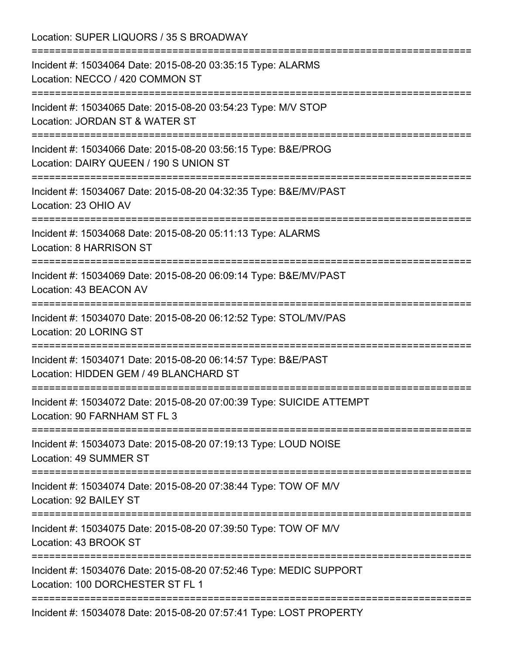Location: SUPER LIQUORS / 35 S BROADWAY =========================================================================== Incident #: 15034064 Date: 2015-08-20 03:35:15 Type: ALARMS Location: NECCO / 420 COMMON ST =========================================================================== Incident #: 15034065 Date: 2015-08-20 03:54:23 Type: M/V STOP Location: JORDAN ST & WATER ST =========================================================================== Incident #: 15034066 Date: 2015-08-20 03:56:15 Type: B&E/PROG Location: DAIRY QUEEN / 190 S UNION ST =========================================================================== Incident #: 15034067 Date: 2015-08-20 04:32:35 Type: B&E/MV/PAST Location: 23 OHIO AV =========================================================================== Incident #: 15034068 Date: 2015-08-20 05:11:13 Type: ALARMS Location: 8 HARRISON ST =========================================================================== Incident #: 15034069 Date: 2015-08-20 06:09:14 Type: B&E/MV/PAST Location: 43 BEACON AV =========================================================================== Incident #: 15034070 Date: 2015-08-20 06:12:52 Type: STOL/MV/PAS Location: 20 LORING ST =========================================================================== Incident #: 15034071 Date: 2015-08-20 06:14:57 Type: B&E/PAST Location: HIDDEN GEM / 49 BLANCHARD ST =========================================================================== Incident #: 15034072 Date: 2015-08-20 07:00:39 Type: SUICIDE ATTEMPT Location: 90 FARNHAM ST FL 3 =========================================================================== Incident #: 15034073 Date: 2015-08-20 07:19:13 Type: LOUD NOISE Location: 49 SUMMER ST =========================================================================== Incident #: 15034074 Date: 2015-08-20 07:38:44 Type: TOW OF M/V Location: 92 BAILEY ST =========================================================================== Incident #: 15034075 Date: 2015-08-20 07:39:50 Type: TOW OF M/V Location: 43 BROOK ST =========================================================================== Incident #: 15034076 Date: 2015-08-20 07:52:46 Type: MEDIC SUPPORT Location: 100 DORCHESTER ST FL 1 =========================================================================== Incident #: 15034078 Date: 2015-08-20 07:57:41 Type: LOST PROPERTY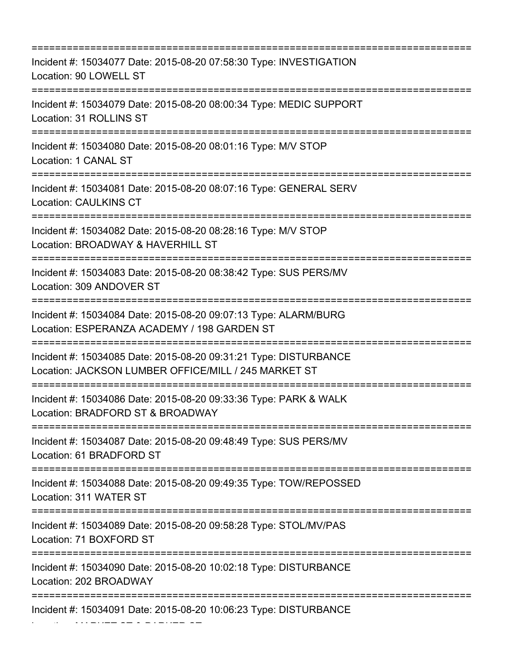| Incident #: 15034077 Date: 2015-08-20 07:58:30 Type: INVESTIGATION<br>Location: 90 LOWELL ST<br>--------------------------------------<br>===================================== |
|---------------------------------------------------------------------------------------------------------------------------------------------------------------------------------|
| Incident #: 15034079 Date: 2015-08-20 08:00:34 Type: MEDIC SUPPORT<br>Location: 31 ROLLINS ST                                                                                   |
| Incident #: 15034080 Date: 2015-08-20 08:01:16 Type: M/V STOP<br>Location: 1 CANAL ST                                                                                           |
| Incident #: 15034081 Date: 2015-08-20 08:07:16 Type: GENERAL SERV<br><b>Location: CAULKINS CT</b>                                                                               |
| Incident #: 15034082 Date: 2015-08-20 08:28:16 Type: M/V STOP<br>Location: BROADWAY & HAVERHILL ST<br>----------------------                                                    |
| Incident #: 15034083 Date: 2015-08-20 08:38:42 Type: SUS PERS/MV<br>Location: 309 ANDOVER ST<br>=======================                                                         |
| Incident #: 15034084 Date: 2015-08-20 09:07:13 Type: ALARM/BURG<br>Location: ESPERANZA ACADEMY / 198 GARDEN ST                                                                  |
| Incident #: 15034085 Date: 2015-08-20 09:31:21 Type: DISTURBANCE<br>Location: JACKSON LUMBER OFFICE/MILL / 245 MARKET ST                                                        |
| Incident #: 15034086 Date: 2015-08-20 09:33:36 Type: PARK & WALK<br>Location: BRADFORD ST & BROADWAY                                                                            |
| Incident #: 15034087 Date: 2015-08-20 09:48:49 Type: SUS PERS/MV<br>Location: 61 BRADFORD ST                                                                                    |
| Incident #: 15034088 Date: 2015-08-20 09:49:35 Type: TOW/REPOSSED<br>Location: 311 WATER ST<br>================================                                                 |
| Incident #: 15034089 Date: 2015-08-20 09:58:28 Type: STOL/MV/PAS<br>Location: 71 BOXFORD ST                                                                                     |
| Incident #: 15034090 Date: 2015-08-20 10:02:18 Type: DISTURBANCE<br>Location: 202 BROADWAY                                                                                      |
| Incident #: 15034091 Date: 2015-08-20 10:06:23 Type: DISTURBANCE                                                                                                                |

Location: MARKET ST & PARKER ST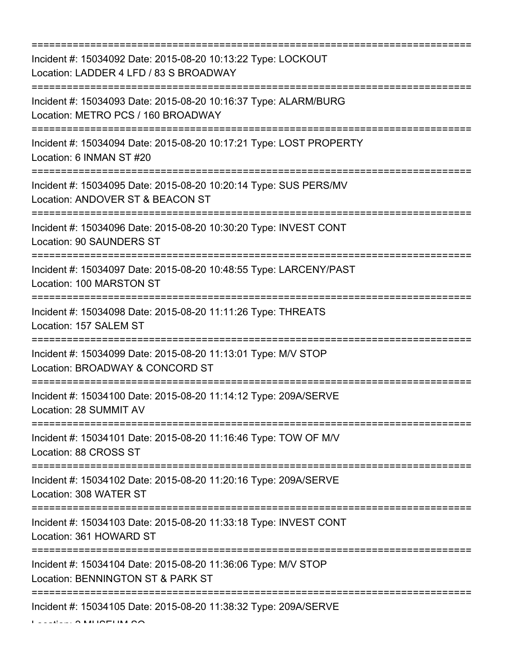=========================================================================== Incident #: 15034092 Date: 2015-08-20 10:13:22 Type: LOCKOUT Location: LADDER 4 LFD / 83 S BROADWAY =========================================================================== Incident #: 15034093 Date: 2015-08-20 10:16:37 Type: ALARM/BURG Location: METRO PCS / 160 BROADWAY =========================================================================== Incident #: 15034094 Date: 2015-08-20 10:17:21 Type: LOST PROPERTY Location: 6 INMAN ST #20 =========================================================================== Incident #: 15034095 Date: 2015-08-20 10:20:14 Type: SUS PERS/MV Location: ANDOVER ST & BEACON ST =========================================================================== Incident #: 15034096 Date: 2015-08-20 10:30:20 Type: INVEST CONT Location: 90 SAUNDERS ST =========================================================================== Incident #: 15034097 Date: 2015-08-20 10:48:55 Type: LARCENY/PAST Location: 100 MARSTON ST =========================================================================== Incident #: 15034098 Date: 2015-08-20 11:11:26 Type: THREATS Location: 157 SALEM ST =========================================================================== Incident #: 15034099 Date: 2015-08-20 11:13:01 Type: M/V STOP Location: BROADWAY & CONCORD ST =========================================================================== Incident #: 15034100 Date: 2015-08-20 11:14:12 Type: 209A/SERVE Location: 28 SUMMIT AV =========================================================================== Incident #: 15034101 Date: 2015-08-20 11:16:46 Type: TOW OF M/V Location: 88 CROSS ST =========================================================================== Incident #: 15034102 Date: 2015-08-20 11:20:16 Type: 209A/SERVE Location: 308 WATER ST =========================================================================== Incident #: 15034103 Date: 2015-08-20 11:33:18 Type: INVEST CONT Location: 361 HOWARD ST =========================================================================== Incident #: 15034104 Date: 2015-08-20 11:36:06 Type: M/V STOP Location: BENNINGTON ST & PARK ST =========================================================================== Incident #: 15034105 Date: 2015-08-20 11:38:32 Type: 209A/SERVE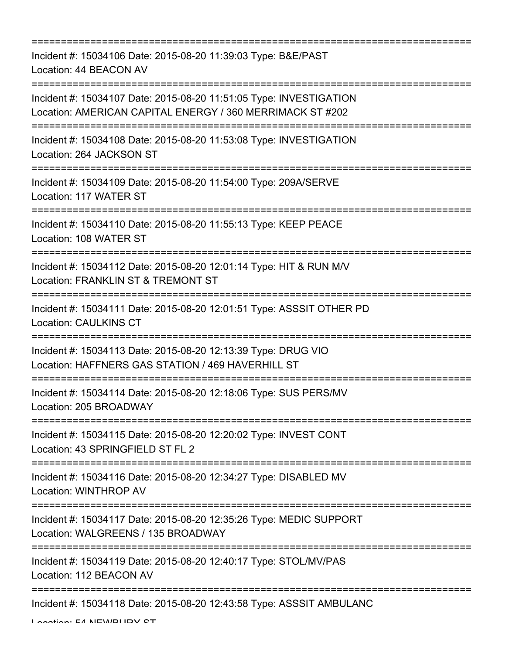=========================================================================== Incident #: 15034106 Date: 2015-08-20 11:39:03 Type: B&E/PAST Location: 44 BEACON AV =========================================================================== Incident #: 15034107 Date: 2015-08-20 11:51:05 Type: INVESTIGATION Location: AMERICAN CAPITAL ENERGY / 360 MERRIMACK ST #202 =========================================================================== Incident #: 15034108 Date: 2015-08-20 11:53:08 Type: INVESTIGATION Location: 264 JACKSON ST =========================================================================== Incident #: 15034109 Date: 2015-08-20 11:54:00 Type: 209A/SERVE Location: 117 WATER ST =========================================================================== Incident #: 15034110 Date: 2015-08-20 11:55:13 Type: KEEP PEACE Location: 108 WATER ST =========================================================================== Incident #: 15034112 Date: 2015-08-20 12:01:14 Type: HIT & RUN M/V Location: FRANKLIN ST & TREMONT ST =========================================================================== Incident #: 15034111 Date: 2015-08-20 12:01:51 Type: ASSSIT OTHER PD Location: CAULKINS CT =========================================================================== Incident #: 15034113 Date: 2015-08-20 12:13:39 Type: DRUG VIO Location: HAFFNERS GAS STATION / 469 HAVERHILL ST =========================================================================== Incident #: 15034114 Date: 2015-08-20 12:18:06 Type: SUS PERS/MV Location: 205 BROADWAY =========================================================================== Incident #: 15034115 Date: 2015-08-20 12:20:02 Type: INVEST CONT Location: 43 SPRINGFIELD ST FL 2 =========================================================================== Incident #: 15034116 Date: 2015-08-20 12:34:27 Type: DISABLED MV Location: WINTHROP AV =========================================================================== Incident #: 15034117 Date: 2015-08-20 12:35:26 Type: MEDIC SUPPORT Location: WALGREENS / 135 BROADWAY =========================================================================== Incident #: 15034119 Date: 2015-08-20 12:40:17 Type: STOL/MV/PAS Location: 112 BEACON AV =========================================================================== Incident #: 15034118 Date: 2015-08-20 12:43:58 Type: ASSSIT AMBULANC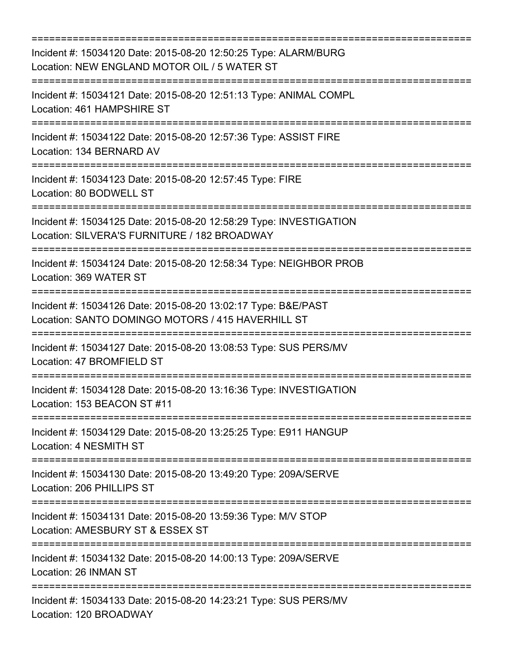| Incident #: 15034120 Date: 2015-08-20 12:50:25 Type: ALARM/BURG<br>Location: NEW ENGLAND MOTOR OIL / 5 WATER ST<br>.===================================<br>=================================== |
|------------------------------------------------------------------------------------------------------------------------------------------------------------------------------------------------|
| Incident #: 15034121 Date: 2015-08-20 12:51:13 Type: ANIMAL COMPL<br>Location: 461 HAMPSHIRE ST<br>====================================                                                        |
| Incident #: 15034122 Date: 2015-08-20 12:57:36 Type: ASSIST FIRE<br>Location: 134 BERNARD AV                                                                                                   |
| Incident #: 15034123 Date: 2015-08-20 12:57:45 Type: FIRE<br>Location: 80 BODWELL ST                                                                                                           |
| Incident #: 15034125 Date: 2015-08-20 12:58:29 Type: INVESTIGATION<br>Location: SILVERA'S FURNITURE / 182 BROADWAY                                                                             |
| Incident #: 15034124 Date: 2015-08-20 12:58:34 Type: NEIGHBOR PROB<br>Location: 369 WATER ST                                                                                                   |
| ;=================================<br>Incident #: 15034126 Date: 2015-08-20 13:02:17 Type: B&E/PAST<br>Location: SANTO DOMINGO MOTORS / 415 HAVERHILL ST                                       |
| Incident #: 15034127 Date: 2015-08-20 13:08:53 Type: SUS PERS/MV<br>Location: 47 BROMFIELD ST                                                                                                  |
| Incident #: 15034128 Date: 2015-08-20 13:16:36 Type: INVESTIGATION<br>Location: 153 BEACON ST #11                                                                                              |
| Incident #: 15034129 Date: 2015-08-20 13:25:25 Type: E911 HANGUP<br>Location: 4 NESMITH ST                                                                                                     |
| Incident #: 15034130 Date: 2015-08-20 13:49:20 Type: 209A/SERVE<br>Location: 206 PHILLIPS ST                                                                                                   |
| Incident #: 15034131 Date: 2015-08-20 13:59:36 Type: M/V STOP<br>Location: AMESBURY ST & ESSEX ST                                                                                              |
| :=============================<br>Incident #: 15034132 Date: 2015-08-20 14:00:13 Type: 209A/SERVE<br>Location: 26 INMAN ST                                                                     |
| Incident #: 15034133 Date: 2015-08-20 14:23:21 Type: SUS PERS/MV<br>Location: 120 BROADWAY                                                                                                     |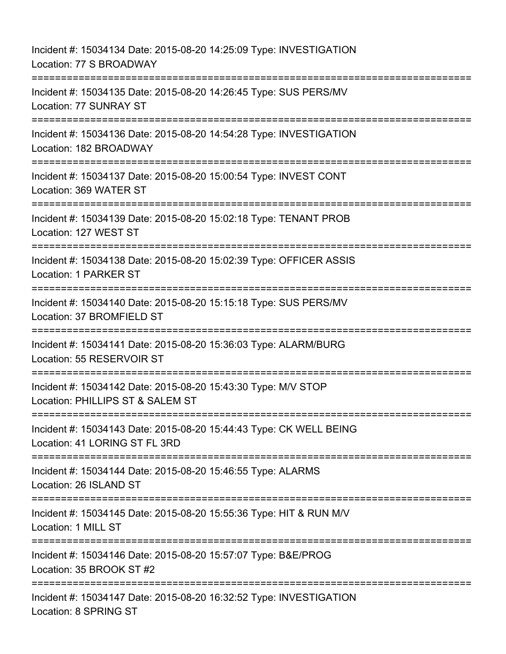Incident #: 15034134 Date: 2015-08-20 14:25:09 Type: INVESTIGATION Location: 77 S BROADWAY =========================================================================== Incident #: 15034135 Date: 2015-08-20 14:26:45 Type: SUS PERS/MV Location: 77 SUNRAY ST =========================================================================== Incident #: 15034136 Date: 2015-08-20 14:54:28 Type: INVESTIGATION Location: 182 BROADWAY =========================================================================== Incident #: 15034137 Date: 2015-08-20 15:00:54 Type: INVEST CONT Location: 369 WATER ST =========================================================================== Incident #: 15034139 Date: 2015-08-20 15:02:18 Type: TENANT PROB Location: 127 WEST ST =========================================================================== Incident #: 15034138 Date: 2015-08-20 15:02:39 Type: OFFICER ASSIS Location: 1 PARKER ST =========================================================================== Incident #: 15034140 Date: 2015-08-20 15:15:18 Type: SUS PERS/MV Location: 37 BROMFIELD ST =========================================================================== Incident #: 15034141 Date: 2015-08-20 15:36:03 Type: ALARM/BURG Location: 55 RESERVOIR ST =========================================================================== Incident #: 15034142 Date: 2015-08-20 15:43:30 Type: M/V STOP Location: PHILLIPS ST & SALEM ST =========================================================================== Incident #: 15034143 Date: 2015-08-20 15:44:43 Type: CK WELL BEING Location: 41 LORING ST FL 3RD =========================================================================== Incident #: 15034144 Date: 2015-08-20 15:46:55 Type: ALARMS Location: 26 ISLAND ST =========================================================================== Incident #: 15034145 Date: 2015-08-20 15:55:36 Type: HIT & RUN M/V Location: 1 MILL ST =========================================================================== Incident #: 15034146 Date: 2015-08-20 15:57:07 Type: B&E/PROG Location: 35 BROOK ST #2 ============================= Incident #: 15034147 Date: 2015-08-20 16:32:52 Type: INVESTIGATION Location: 8 SPRING ST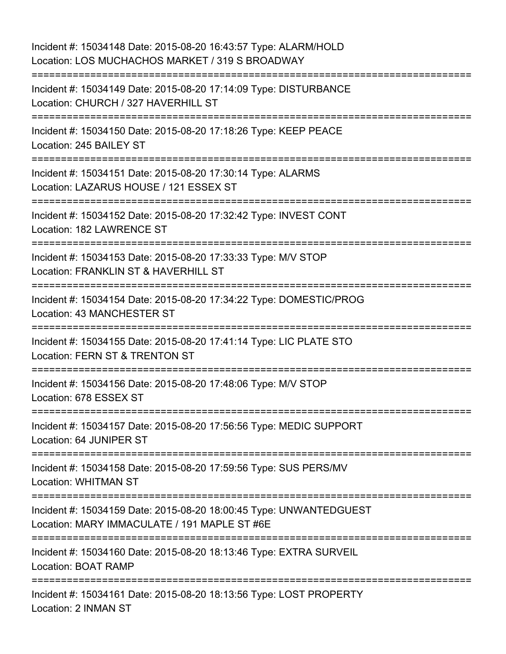| Incident #: 15034148 Date: 2015-08-20 16:43:57 Type: ALARM/HOLD<br>Location: LOS MUCHACHOS MARKET / 319 S BROADWAY            |
|-------------------------------------------------------------------------------------------------------------------------------|
| Incident #: 15034149 Date: 2015-08-20 17:14:09 Type: DISTURBANCE<br>Location: CHURCH / 327 HAVERHILL ST                       |
| Incident #: 15034150 Date: 2015-08-20 17:18:26 Type: KEEP PEACE<br>Location: 245 BAILEY ST                                    |
| Incident #: 15034151 Date: 2015-08-20 17:30:14 Type: ALARMS<br>Location: LAZARUS HOUSE / 121 ESSEX ST                         |
| Incident #: 15034152 Date: 2015-08-20 17:32:42 Type: INVEST CONT<br>Location: 182 LAWRENCE ST                                 |
| Incident #: 15034153 Date: 2015-08-20 17:33:33 Type: M/V STOP<br>Location: FRANKLIN ST & HAVERHILL ST<br>:=================== |
| Incident #: 15034154 Date: 2015-08-20 17:34:22 Type: DOMESTIC/PROG<br>Location: 43 MANCHESTER ST                              |
| Incident #: 15034155 Date: 2015-08-20 17:41:14 Type: LIC PLATE STO<br>Location: FERN ST & TRENTON ST                          |
| Incident #: 15034156 Date: 2015-08-20 17:48:06 Type: M/V STOP<br>Location: 678 ESSEX ST                                       |
| Incident #: 15034157 Date: 2015-08-20 17:56:56 Type: MEDIC SUPPORT<br>Location: 64 JUNIPER ST                                 |
| Incident #: 15034158 Date: 2015-08-20 17:59:56 Type: SUS PERS/MV<br><b>Location: WHITMAN ST</b>                               |
| Incident #: 15034159 Date: 2015-08-20 18:00:45 Type: UNWANTEDGUEST<br>Location: MARY IMMACULATE / 191 MAPLE ST #6E            |
| Incident #: 15034160 Date: 2015-08-20 18:13:46 Type: EXTRA SURVEIL<br><b>Location: BOAT RAMP</b>                              |
| Incident #: 15034161 Date: 2015-08-20 18:13:56 Type: LOST PROPERTY<br>Location: 2 INMAN ST                                    |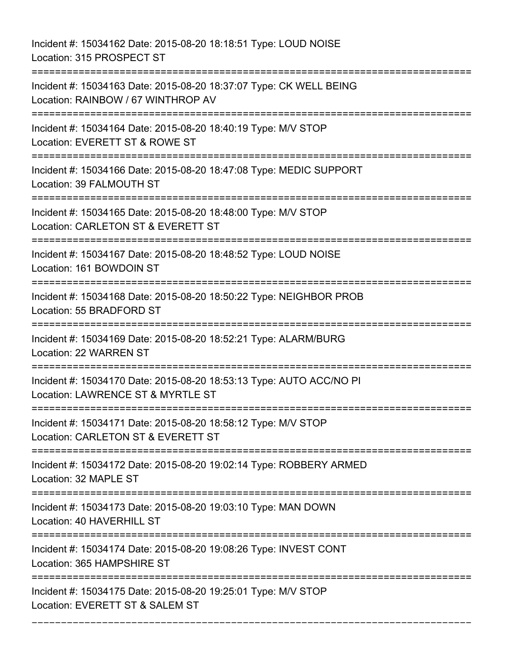Incident #: 15034162 Date: 2015-08-20 18:18:51 Type: LOUD NOISE Location: 315 PROSPECT ST

=========================================================================== Incident #: 15034163 Date: 2015-08-20 18:37:07 Type: CK WELL BEING Location: RAINBOW / 67 WINTHROP AV =========================================================================== Incident #: 15034164 Date: 2015-08-20 18:40:19 Type: M/V STOP Location: EVERETT ST & ROWE ST =========================================================================== Incident #: 15034166 Date: 2015-08-20 18:47:08 Type: MEDIC SUPPORT Location: 39 FALMOUTH ST =========================================================================== Incident #: 15034165 Date: 2015-08-20 18:48:00 Type: M/V STOP Location: CARLETON ST & EVERETT ST =========================================================================== Incident #: 15034167 Date: 2015-08-20 18:48:52 Type: LOUD NOISE Location: 161 BOWDOIN ST =========================================================================== Incident #: 15034168 Date: 2015-08-20 18:50:22 Type: NEIGHBOR PROB Location: 55 BRADFORD ST =========================================================================== Incident #: 15034169 Date: 2015-08-20 18:52:21 Type: ALARM/BURG Location: 22 WARREN ST =========================================================================== Incident #: 15034170 Date: 2015-08-20 18:53:13 Type: AUTO ACC/NO PI Location: LAWRENCE ST & MYRTLE ST =========================================================================== Incident #: 15034171 Date: 2015-08-20 18:58:12 Type: M/V STOP Location: CARLETON ST & EVERETT ST =========================================================================== Incident #: 15034172 Date: 2015-08-20 19:02:14 Type: ROBBERY ARMED Location: 32 MAPLE ST =========================================================================== Incident #: 15034173 Date: 2015-08-20 19:03:10 Type: MAN DOWN Location: 40 HAVERHILL ST =========================================================================== Incident #: 15034174 Date: 2015-08-20 19:08:26 Type: INVEST CONT Location: 365 HAMPSHIRE ST =========================================================================== Incident #: 15034175 Date: 2015-08-20 19:25:01 Type: M/V STOP Location: EVERETT ST & SALEM ST

===========================================================================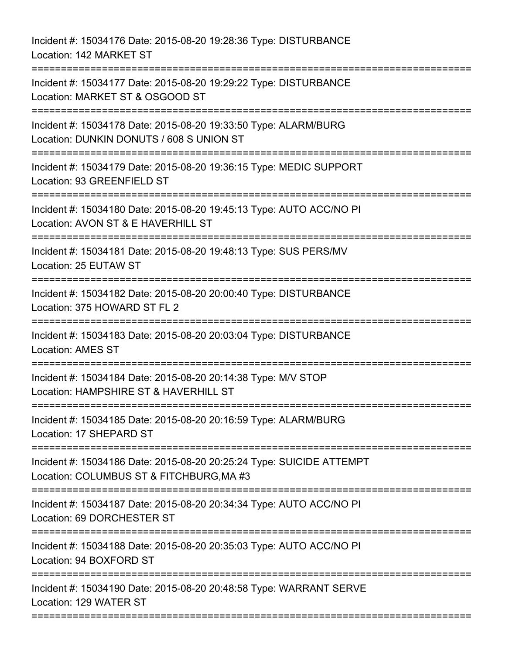Incident #: 15034176 Date: 2015-08-20 19:28:36 Type: DISTURBANCE Location: 142 MARKET ST =========================================================================== Incident #: 15034177 Date: 2015-08-20 19:29:22 Type: DISTURBANCE Location: MARKET ST & OSGOOD ST =========================================================================== Incident #: 15034178 Date: 2015-08-20 19:33:50 Type: ALARM/BURG Location: DUNKIN DONUTS / 608 S UNION ST =========================================================================== Incident #: 15034179 Date: 2015-08-20 19:36:15 Type: MEDIC SUPPORT Location: 93 GREENFIELD ST =========================================================================== Incident #: 15034180 Date: 2015-08-20 19:45:13 Type: AUTO ACC/NO PI Location: AVON ST & E HAVERHILL ST =========================================================================== Incident #: 15034181 Date: 2015-08-20 19:48:13 Type: SUS PERS/MV Location: 25 EUTAW ST =========================================================================== Incident #: 15034182 Date: 2015-08-20 20:00:40 Type: DISTURBANCE Location: 375 HOWARD ST FL 2 =========================================================================== Incident #: 15034183 Date: 2015-08-20 20:03:04 Type: DISTURBANCE Location: AMES ST =========================================================================== Incident #: 15034184 Date: 2015-08-20 20:14:38 Type: M/V STOP Location: HAMPSHIRE ST & HAVERHILL ST ========================= Incident #: 15034185 Date: 2015-08-20 20:16:59 Type: ALARM/BURG Location: 17 SHEPARD ST =========================================================================== Incident #: 15034186 Date: 2015-08-20 20:25:24 Type: SUICIDE ATTEMPT Location: COLUMBUS ST & FITCHBURG,MA #3 =========================================================================== Incident #: 15034187 Date: 2015-08-20 20:34:34 Type: AUTO ACC/NO PI Location: 69 DORCHESTER ST =========================================================================== Incident #: 15034188 Date: 2015-08-20 20:35:03 Type: AUTO ACC/NO PI Location: 94 BOXFORD ST =========================================================================== Incident #: 15034190 Date: 2015-08-20 20:48:58 Type: WARRANT SERVE Location: 129 WATER ST ===========================================================================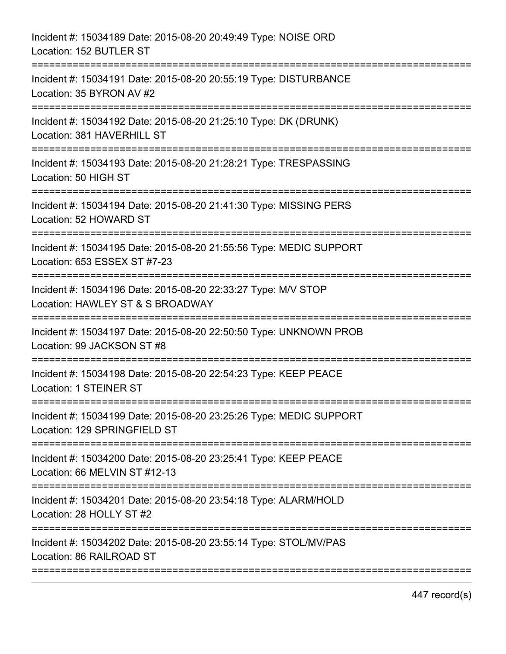| Incident #: 15034191 Date: 2015-08-20 20:55:19 Type: DISTURBANCE<br>Location: 35 BYRON AV #2<br>Location: 381 HAVERHILL ST<br>Location: 50 HIGH ST<br>------------------<br>Incident #: 15034194 Date: 2015-08-20 21:41:30 Type: MISSING PERS<br>Location: 52 HOWARD ST<br>Incident #: 15034195 Date: 2015-08-20 21:55:56 Type: MEDIC SUPPORT<br>Location: 653 ESSEX ST #7-23<br>Location: HAWLEY ST & S BROADWAY<br>===========<br>Incident #: 15034197 Date: 2015-08-20 22:50:50 Type: UNKNOWN PROB<br>Location: 99 JACKSON ST #8<br>Incident #: 15034198 Date: 2015-08-20 22:54:23 Type: KEEP PEACE<br>Location: 129 SPRINGFIELD ST<br>Location: 66 MELVIN ST #12-13<br>Location: 86 RAILROAD ST | Incident #: 15034189 Date: 2015-08-20 20:49:49 Type: NOISE ORD<br>Location: 152 BUTLER ST   |
|-----------------------------------------------------------------------------------------------------------------------------------------------------------------------------------------------------------------------------------------------------------------------------------------------------------------------------------------------------------------------------------------------------------------------------------------------------------------------------------------------------------------------------------------------------------------------------------------------------------------------------------------------------------------------------------------------------|---------------------------------------------------------------------------------------------|
|                                                                                                                                                                                                                                                                                                                                                                                                                                                                                                                                                                                                                                                                                                     |                                                                                             |
|                                                                                                                                                                                                                                                                                                                                                                                                                                                                                                                                                                                                                                                                                                     | Incident #: 15034192 Date: 2015-08-20 21:25:10 Type: DK (DRUNK)                             |
|                                                                                                                                                                                                                                                                                                                                                                                                                                                                                                                                                                                                                                                                                                     | Incident #: 15034193 Date: 2015-08-20 21:28:21 Type: TRESPASSING                            |
|                                                                                                                                                                                                                                                                                                                                                                                                                                                                                                                                                                                                                                                                                                     |                                                                                             |
|                                                                                                                                                                                                                                                                                                                                                                                                                                                                                                                                                                                                                                                                                                     |                                                                                             |
|                                                                                                                                                                                                                                                                                                                                                                                                                                                                                                                                                                                                                                                                                                     | Incident #: 15034196 Date: 2015-08-20 22:33:27 Type: M/V STOP                               |
|                                                                                                                                                                                                                                                                                                                                                                                                                                                                                                                                                                                                                                                                                                     |                                                                                             |
|                                                                                                                                                                                                                                                                                                                                                                                                                                                                                                                                                                                                                                                                                                     | Location: 1 STEINER ST                                                                      |
|                                                                                                                                                                                                                                                                                                                                                                                                                                                                                                                                                                                                                                                                                                     | Incident #: 15034199 Date: 2015-08-20 23:25:26 Type: MEDIC SUPPORT                          |
|                                                                                                                                                                                                                                                                                                                                                                                                                                                                                                                                                                                                                                                                                                     | Incident #: 15034200 Date: 2015-08-20 23:25:41 Type: KEEP PEACE                             |
|                                                                                                                                                                                                                                                                                                                                                                                                                                                                                                                                                                                                                                                                                                     | Incident #: 15034201 Date: 2015-08-20 23:54:18 Type: ALARM/HOLD<br>Location: 28 HOLLY ST #2 |
|                                                                                                                                                                                                                                                                                                                                                                                                                                                                                                                                                                                                                                                                                                     | Incident #: 15034202 Date: 2015-08-20 23:55:14 Type: STOL/MV/PAS                            |

447 record(s)